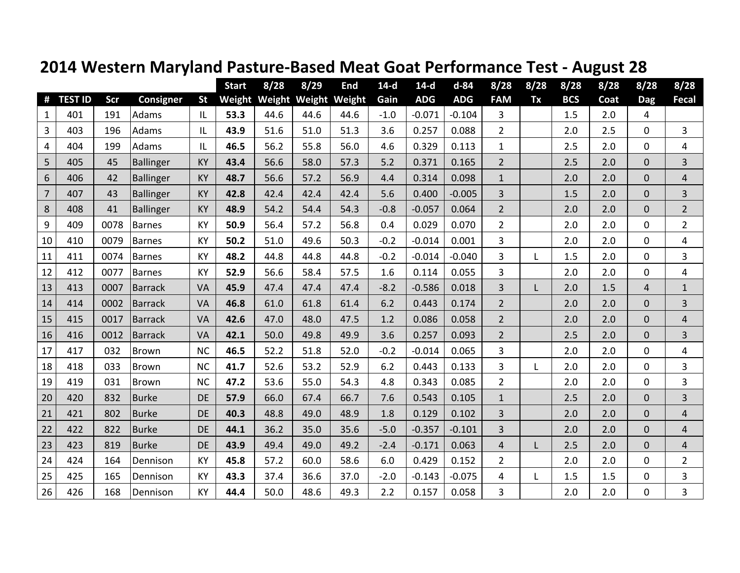|                |                |      |                  |           | <b>Start</b> | 8/28 | 8/29                        | End  | $14-d$ | $14-d$     | $d - 84$   | 8/28           | 8/28 | 8/28       | 8/28 | 8/28           | 8/28           |
|----------------|----------------|------|------------------|-----------|--------------|------|-----------------------------|------|--------|------------|------------|----------------|------|------------|------|----------------|----------------|
| #              | <b>TEST ID</b> | Scr  | <b>Consigner</b> | <b>St</b> |              |      | Weight Weight Weight Weight |      | Gain   | <b>ADG</b> | <b>ADG</b> | <b>FAM</b>     | Tx   | <b>BCS</b> | Coat | <b>Dag</b>     | <b>Fecal</b>   |
| $\mathbf{1}$   | 401            | 191  | Adams            | L         | 53.3         | 44.6 | 44.6                        | 44.6 | $-1.0$ | $-0.071$   | $-0.104$   | 3              |      | 1.5        | 2.0  | 4              |                |
| 3              | 403            | 196  | Adams            | IL        | 43.9         | 51.6 | 51.0                        | 51.3 | 3.6    | 0.257      | 0.088      | $\overline{2}$ |      | 2.0        | 2.5  | 0              | $\overline{3}$ |
| 4              | 404            | 199  | Adams            | IL        | 46.5         | 56.2 | 55.8                        | 56.0 | 4.6    | 0.329      | 0.113      | 1              |      | 2.5        | 2.0  | 0              | 4              |
| 5              | 405            | 45   | Ballinger        | <b>KY</b> | 43.4         | 56.6 | 58.0                        | 57.3 | 5.2    | 0.371      | 0.165      | $\overline{2}$ |      | 2.5        | 2.0  | $\mathbf 0$    | 3              |
| 6              | 406            | 42   | <b>Ballinger</b> | <b>KY</b> | 48.7         | 56.6 | 57.2                        | 56.9 | 4.4    | 0.314      | 0.098      | $\mathbf{1}$   |      | 2.0        | 2.0  | $\overline{0}$ | $\overline{4}$ |
| $\overline{7}$ | 407            | 43   | <b>Ballinger</b> | <b>KY</b> | 42.8         | 42.4 | 42.4                        | 42.4 | 5.6    | 0.400      | $-0.005$   | 3              |      | 1.5        | 2.0  | $\mathbf 0$    | 3              |
| 8              | 408            | 41   | Ballinger        | <b>KY</b> | 48.9         | 54.2 | 54.4                        | 54.3 | $-0.8$ | $-0.057$   | 0.064      | $\overline{2}$ |      | 2.0        | 2.0  | $\mathbf 0$    | $\overline{2}$ |
| 9              | 409            | 0078 | <b>Barnes</b>    | <b>KY</b> | 50.9         | 56.4 | 57.2                        | 56.8 | 0.4    | 0.029      | 0.070      | $\overline{2}$ |      | 2.0        | 2.0  | 0              | $\overline{2}$ |
| 10             | 410            | 0079 | <b>Barnes</b>    | <b>KY</b> | 50.2         | 51.0 | 49.6                        | 50.3 | $-0.2$ | $-0.014$   | 0.001      | 3              |      | 2.0        | 2.0  | 0              | $\overline{4}$ |
| 11             | 411            | 0074 | Barnes           | KY        | 48.2         | 44.8 | 44.8                        | 44.8 | $-0.2$ | $-0.014$   | $-0.040$   | $\overline{3}$ | L    | 1.5        | 2.0  | 0              | 3              |
| 12             | 412            | 0077 | <b>Barnes</b>    | KY        | 52.9         | 56.6 | 58.4                        | 57.5 | 1.6    | 0.114      | 0.055      | 3              |      | 2.0        | 2.0  | 0              | 4              |
| 13             | 413            | 0007 | <b>Barrack</b>   | VA        | 45.9         | 47.4 | 47.4                        | 47.4 | $-8.2$ | $-0.586$   | 0.018      | 3              | L.   | 2.0        | 1.5  | 4              | $\mathbf{1}$   |
| 14             | 414            | 0002 | <b>Barrack</b>   | VA        | 46.8         | 61.0 | 61.8                        | 61.4 | 6.2    | 0.443      | 0.174      | $\overline{2}$ |      | 2.0        | 2.0  | $\mathbf 0$    | 3              |
| 15             | 415            | 0017 | <b>Barrack</b>   | VA        | 42.6         | 47.0 | 48.0                        | 47.5 | 1.2    | 0.086      | 0.058      | $\overline{2}$ |      | 2.0        | 2.0  | $\overline{0}$ | $\overline{4}$ |
| 16             | 416            | 0012 | Barrack          | VA        | 42.1         | 50.0 | 49.8                        | 49.9 | 3.6    | 0.257      | 0.093      | $\overline{2}$ |      | 2.5        | 2.0  | $\mathbf 0$    | 3              |
| 17             | 417            | 032  | <b>Brown</b>     | <b>NC</b> | 46.5         | 52.2 | 51.8                        | 52.0 | $-0.2$ | $-0.014$   | 0.065      | 3              |      | 2.0        | 2.0  | 0              | 4              |
| 18             | 418            | 033  | <b>Brown</b>     | <b>NC</b> | 41.7         | 52.6 | 53.2                        | 52.9 | 6.2    | 0.443      | 0.133      | 3              | L    | 2.0        | 2.0  | 0              | 3              |
| 19             | 419            | 031  | Brown            | <b>NC</b> | 47.2         | 53.6 | 55.0                        | 54.3 | 4.8    | 0.343      | 0.085      | $\overline{2}$ |      | 2.0        | 2.0  | $\mathbf 0$    | 3              |
| 20             | 420            | 832  | <b>Burke</b>     | DE        | 57.9         | 66.0 | 67.4                        | 66.7 | 7.6    | 0.543      | 0.105      | $\mathbf{1}$   |      | 2.5        | 2.0  | $\mathbf 0$    | 3              |
| 21             | 421            | 802  | <b>Burke</b>     | DE        | 40.3         | 48.8 | 49.0                        | 48.9 | 1.8    | 0.129      | 0.102      | 3              |      | 2.0        | 2.0  | $\mathbf 0$    | $\overline{4}$ |
| 22             | 422            | 822  | <b>Burke</b>     | <b>DE</b> | 44.1         | 36.2 | 35.0                        | 35.6 | $-5.0$ | $-0.357$   | $-0.101$   | 3              |      | 2.0        | 2.0  | 0              | 4              |
| 23             | 423            | 819  | <b>Burke</b>     | <b>DE</b> | 43.9         | 49.4 | 49.0                        | 49.2 | $-2.4$ | $-0.171$   | 0.063      | 4              | L    | 2.5        | 2.0  | $\mathbf 0$    | $\overline{4}$ |
| 24             | 424            | 164  | Dennison         | KY        | 45.8         | 57.2 | 60.0                        | 58.6 | 6.0    | 0.429      | 0.152      | $\overline{2}$ |      | 2.0        | 2.0  | 0              | $\overline{2}$ |
| 25             | 425            | 165  | Dennison         | KY        | 43.3         | 37.4 | 36.6                        | 37.0 | $-2.0$ | $-0.143$   | $-0.075$   | 4              |      | 1.5        | 1.5  | 0              | 3              |
| 26             | 426            | 168  | Dennison         | <b>KY</b> | 44.4         | 50.0 | 48.6                        | 49.3 | 2.2    | 0.157      | 0.058      | 3              |      | 2.0        | 2.0  | 0              | 3              |

## **2014 Western Maryland Pasture-Based Meat Goat Performance Test - August 28**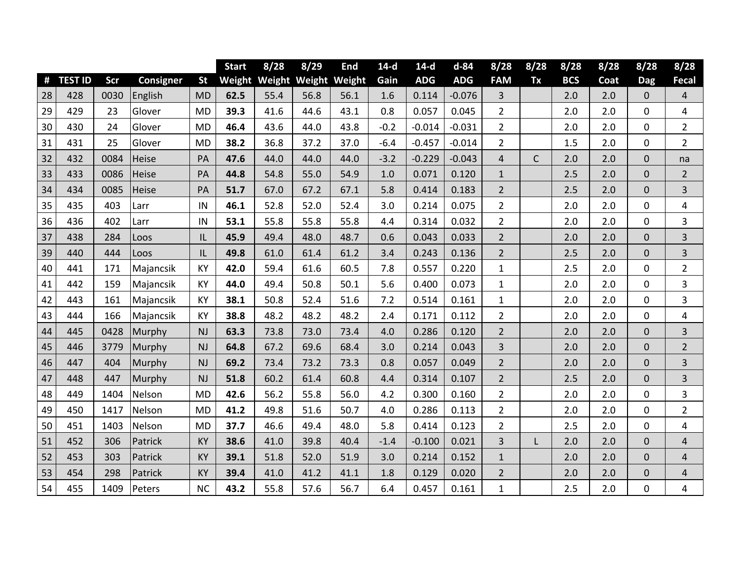|    |                |      |                  |           | <b>Start</b> | 8/28 | 8/29                        | End  | $14-d$ | $14-d$     | $d - 84$   | 8/28           | 8/28         | 8/28       | 8/28 | 8/28             | 8/28                    |
|----|----------------|------|------------------|-----------|--------------|------|-----------------------------|------|--------|------------|------------|----------------|--------------|------------|------|------------------|-------------------------|
| #  | <b>TEST ID</b> | Scr  | <b>Consigner</b> | <b>St</b> |              |      | Weight Weight Weight Weight |      | Gain   | <b>ADG</b> | <b>ADG</b> | <b>FAM</b>     | Tx           | <b>BCS</b> | Coat | <b>Dag</b>       | Fecal                   |
| 28 | 428            | 0030 | English          | <b>MD</b> | 62.5         | 55.4 | 56.8                        | 56.1 | 1.6    | 0.114      | $-0.076$   | 3              |              | 2.0        | 2.0  | $\pmb{0}$        | 4                       |
| 29 | 429            | 23   | Glover           | <b>MD</b> | 39.3         | 41.6 | 44.6                        | 43.1 | 0.8    | 0.057      | 0.045      | $\overline{2}$ |              | 2.0        | 2.0  | 0                | $\overline{\mathbf{4}}$ |
| 30 | 430            | 24   | Glover           | <b>MD</b> | 46.4         | 43.6 | 44.0                        | 43.8 | $-0.2$ | $-0.014$   | $-0.031$   | $\overline{2}$ |              | 2.0        | 2.0  | 0                | $\overline{2}$          |
| 31 | 431            | 25   | Glover           | <b>MD</b> | 38.2         | 36.8 | 37.2                        | 37.0 | $-6.4$ | $-0.457$   | $-0.014$   | $\overline{2}$ |              | 1.5        | 2.0  | 0                | $\overline{2}$          |
| 32 | 432            | 0084 | Heise            | PA        | 47.6         | 44.0 | 44.0                        | 44.0 | $-3.2$ | $-0.229$   | $-0.043$   | $\overline{4}$ | $\mathsf{C}$ | 2.0        | 2.0  | $\boldsymbol{0}$ | na                      |
| 33 | 433            | 0086 | Heise            | PA        | 44.8         | 54.8 | 55.0                        | 54.9 | 1.0    | 0.071      | 0.120      | $\mathbf{1}$   |              | 2.5        | 2.0  | $\pmb{0}$        | $\overline{2}$          |
| 34 | 434            | 0085 | Heise            | PA        | 51.7         | 67.0 | 67.2                        | 67.1 | 5.8    | 0.414      | 0.183      | $\overline{2}$ |              | 2.5        | 2.0  | 0                | 3                       |
| 35 | 435            | 403  | Larr             | IN        | 46.1         | 52.8 | 52.0                        | 52.4 | 3.0    | 0.214      | 0.075      | $\overline{2}$ |              | 2.0        | 2.0  | 0                | 4                       |
| 36 | 436            | 402  | Larr             | IN        | 53.1         | 55.8 | 55.8                        | 55.8 | 4.4    | 0.314      | 0.032      | $\overline{2}$ |              | 2.0        | 2.0  | 0                | 3                       |
| 37 | 438            | 284  | Loos             | IL        | 45.9         | 49.4 | 48.0                        | 48.7 | 0.6    | 0.043      | 0.033      | $\overline{2}$ |              | 2.0        | 2.0  | $\pmb{0}$        | 3                       |
| 39 | 440            | 444  | Loos             | L         | 49.8         | 61.0 | 61.4                        | 61.2 | 3.4    | 0.243      | 0.136      | $\overline{2}$ |              | 2.5        | 2.0  | $\boldsymbol{0}$ | 3                       |
| 40 | 441            | 171  | Majancsik        | <b>KY</b> | 42.0         | 59.4 | 61.6                        | 60.5 | 7.8    | 0.557      | 0.220      | $\mathbf{1}$   |              | 2.5        | 2.0  | 0                | $\overline{2}$          |
| 41 | 442            | 159  | Majancsik        | KY        | 44.0         | 49.4 | 50.8                        | 50.1 | 5.6    | 0.400      | 0.073      | $\mathbf{1}$   |              | 2.0        | 2.0  | 0                | 3                       |
| 42 | 443            | 161  | Majancsik        | KY        | 38.1         | 50.8 | 52.4                        | 51.6 | 7.2    | 0.514      | 0.161      | $\mathbf{1}$   |              | 2.0        | 2.0  | 0                | 3                       |
| 43 | 444            | 166  | Majancsik        | KY        | 38.8         | 48.2 | 48.2                        | 48.2 | 2.4    | 0.171      | 0.112      | $\overline{2}$ |              | 2.0        | 2.0  | 0                | $\overline{4}$          |
| 44 | 445            | 0428 | Murphy           | NJ        | 63.3         | 73.8 | 73.0                        | 73.4 | 4.0    | 0.286      | 0.120      | $\overline{2}$ |              | 2.0        | 2.0  | $\pmb{0}$        | 3                       |
| 45 | 446            | 3779 | Murphy           | NJ        | 64.8         | 67.2 | 69.6                        | 68.4 | 3.0    | 0.214      | 0.043      | 3              |              | 2.0        | 2.0  | $\pmb{0}$        | $\overline{2}$          |
| 46 | 447            | 404  | Murphy           | NJ        | 69.2         | 73.4 | 73.2                        | 73.3 | 0.8    | 0.057      | 0.049      | $\overline{2}$ |              | 2.0        | 2.0  | $\mathbf 0$      | 3                       |
| 47 | 448            | 447  | Murphy           | NJ        | 51.8         | 60.2 | 61.4                        | 60.8 | 4.4    | 0.314      | 0.107      | $\overline{2}$ |              | 2.5        | 2.0  | $\pmb{0}$        | 3                       |
| 48 | 449            | 1404 | Nelson           | <b>MD</b> | 42.6         | 56.2 | 55.8                        | 56.0 | 4.2    | 0.300      | 0.160      | $\overline{2}$ |              | 2.0        | 2.0  | 0                | 3                       |
| 49 | 450            | 1417 | Nelson           | <b>MD</b> | 41.2         | 49.8 | 51.6                        | 50.7 | 4.0    | 0.286      | 0.113      | $\overline{2}$ |              | 2.0        | 2.0  | 0                | $\overline{2}$          |
| 50 | 451            | 1403 | Nelson           | <b>MD</b> | 37.7         | 46.6 | 49.4                        | 48.0 | 5.8    | 0.414      | 0.123      | $\overline{2}$ |              | 2.5        | 2.0  | 0                | 4                       |
| 51 | 452            | 306  | Patrick          | KY        | 38.6         | 41.0 | 39.8                        | 40.4 | $-1.4$ | $-0.100$   | 0.021      | 3              |              | 2.0        | 2.0  | $\mathbf 0$      | $\overline{4}$          |
| 52 | 453            | 303  | Patrick          | <b>KY</b> | 39.1         | 51.8 | 52.0                        | 51.9 | 3.0    | 0.214      | 0.152      | $\mathbf{1}$   |              | 2.0        | 2.0  | $\mathbf 0$      | $\overline{\mathbf{4}}$ |
| 53 | 454            | 298  | Patrick          | KY        | 39.4         | 41.0 | 41.2                        | 41.1 | 1.8    | 0.129      | 0.020      | $\overline{2}$ |              | 2.0        | 2.0  | $\pmb{0}$        | $\sqrt{4}$              |
| 54 | 455            | 1409 | Peters           | <b>NC</b> | 43.2         | 55.8 | 57.6                        | 56.7 | 6.4    | 0.457      | 0.161      | 1              |              | 2.5        | 2.0  | 0                | 4                       |